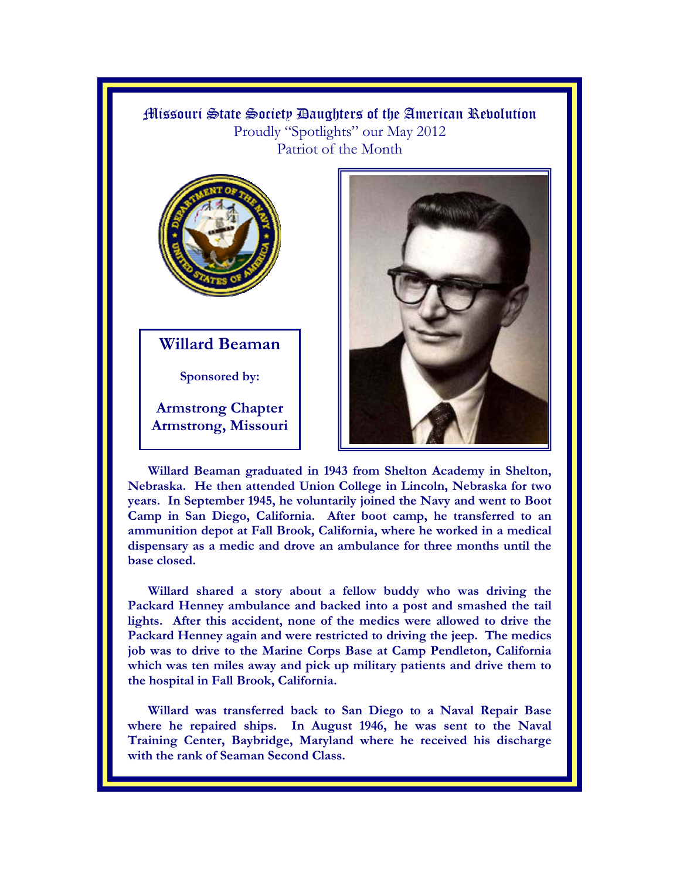## Missouri State Society Daughters of the American Revolution Proudly "Spotlights" our May 2012 Patriot of the Month



**Willard Beaman** 

**Sponsored by:** 

**Armstrong Chapter Armstrong, Missouri** 



**Willard Beaman graduated in 1943 from Shelton Academy in Shelton, Nebraska. He then attended Union College in Lincoln, Nebraska for two years. In September 1945, he voluntarily joined the Navy and went to Boot Camp in San Diego, California. After boot camp, he transferred to an ammunition depot at Fall Brook, California, where he worked in a medical dispensary as a medic and drove an ambulance for three months until the base closed.** 

**Willard shared a story about a fellow buddy who was driving the Packard Henney ambulance and backed into a post and smashed the tail lights. After this accident, none of the medics were allowed to drive the Packard Henney again and were restricted to driving the jeep. The medics job was to drive to the Marine Corps Base at Camp Pendleton, California which was ten miles away and pick up military patients and drive them to the hospital in Fall Brook, California.** 

**Willard was transferred back to San Diego to a Naval Repair Base where he repaired ships. In August 1946, he was sent to the Naval Training Center, Baybridge, Maryland where he received his discharge with the rank of Seaman Second Class.**